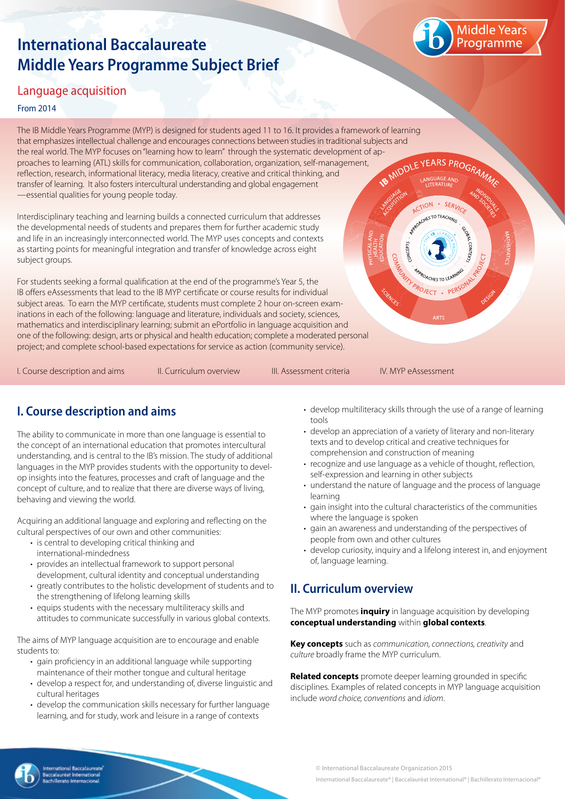# **International Baccalaureate Middle Years Programme Subject Brief**



· SERVIC **NES TO TEAC** 

### Language acquisition

#### From 2014

The IB Middle Years Programme (MYP) is designed for students aged 11 to 16. It provides a framework of learning that emphasizes intellectual challenge and encourages connections between studies in traditional subjects and the real world. The MYP focuses on "learning how to learn" through the systematic development of ap-<br>proaches to learning (ATL) skills for communication, collaboration, organization, self-management,<br>reflection, research, proaches to learning (ATL) skills for communication, collaboration, organization, self-management, reflection, research, informational literacy, media literacy, creative and critical thinking, and transfer of learning. It also fosters intercultural understanding and global engagement —essential qualities for young people today. CTION

Interdisciplinary teaching and learning builds a connected curriculum that addresses the developmental needs of students and prepares them for further academic study and life in an increasingly interconnected world. The MYP uses concepts and contexts as starting points for meaningful integration and transfer of knowledge across eight subject groups.

For students seeking a formal qualification at the end of the programme's Year 5, the IB offers eAssessments that lead to the IB MYP certificate or course results for individual subject areas. To earn the MYP certificate, students must complete 2 hour on-screen examinations in each of the following: language and literature, individuals and society, sciences, mathematics and interdisciplinary learning; submit an ePortfolio in language acquisition and one of the following: design, arts or physical and health education; complete a moderated personal project; and complete school-based expectations for service as action (community service).

I. Course description and aims The Curriculum overview The III. Assessment criteria The IV. MYP eAssessment

**INTY PROJECT . PERS** 

## **I. Course description and aims**

The ability to communicate in more than one language is essential to the concept of an international education that promotes intercultural understanding, and is central to the IB's mission. The study of additional languages in the MYP provides students with the opportunity to develop insights into the features, processes and craft of language and the concept of culture, and to realize that there are diverse ways of living, behaving and viewing the world.

Acquiring an additional language and exploring and reflecting on the cultural perspectives of our own and other communities:

- is central to developing critical thinking and
- international-mindedness
- provides an intellectual framework to support personal development, cultural identity and conceptual understanding
- greatly contributes to the holistic development of students and to the strengthening of lifelong learning skills
- equips students with the necessary multiliteracy skills and attitudes to communicate successfully in various global contexts.

The aims of MYP language acquisition are to encourage and enable students to:

- gain proficiency in an additional language while supporting maintenance of their mother tongue and cultural heritage
- develop a respect for, and understanding of, diverse linguistic and cultural heritages
- develop the communication skills necessary for further language learning, and for study, work and leisure in a range of contexts
- develop multiliteracy skills through the use of a range of learning tools
- develop an appreciation of a variety of literary and non-literary texts and to develop critical and creative techniques for comprehension and construction of meaning
- recognize and use language as a vehicle of thought, reflection, self-expression and learning in other subjects
- understand the nature of language and the process of language learning
- gain insight into the cultural characteristics of the communities where the language is spoken
- gain an awareness and understanding of the perspectives of people from own and other cultures
- develop curiosity, inquiry and a lifelong interest in, and enjoyment of, language learning.

# **II. Curriculum overview**

The MYP promotes **inquiry** in language acquisition by developing **conceptual understanding** within **global contexts**.

**Key concepts** such as *communication, connections, creativity* and *culture* broadly frame the MYP curriculum.

**Related concepts** promote deeper learning grounded in specific disciplines. Examples of related concepts in MYP language acquisition include *word choice, conventions* and *idiom*.